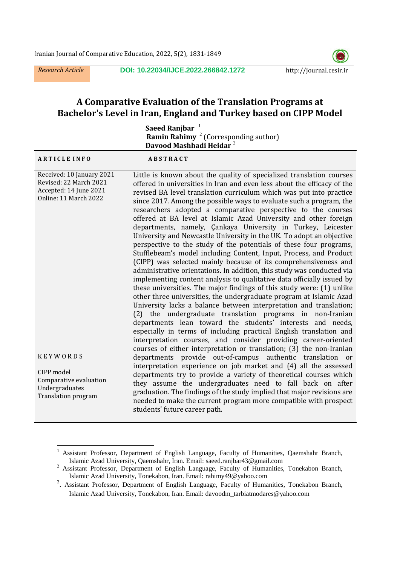*Research Article* **DOI: 10.22034/IJCE.2022.266842.1272** http://journal.cesir.ir



# **A Comparative Evaluation of the Translation Programs at Bachelor's Level in Iran, England and Turkey based on CIPP Model**

|                                                                                                        | <b>Saeed Ranjbar</b><br><b>Ramin Rahimy</b> $2$ (Corresponding author)                                                                                                                                                                                                                                                                                                                                                                                                                                                                                                                                                                                                                                                                                                                                                                                                                                                                                                                                                                                                                                                                                                                                                                                                                                                                                                                                                                |
|--------------------------------------------------------------------------------------------------------|---------------------------------------------------------------------------------------------------------------------------------------------------------------------------------------------------------------------------------------------------------------------------------------------------------------------------------------------------------------------------------------------------------------------------------------------------------------------------------------------------------------------------------------------------------------------------------------------------------------------------------------------------------------------------------------------------------------------------------------------------------------------------------------------------------------------------------------------------------------------------------------------------------------------------------------------------------------------------------------------------------------------------------------------------------------------------------------------------------------------------------------------------------------------------------------------------------------------------------------------------------------------------------------------------------------------------------------------------------------------------------------------------------------------------------------|
|                                                                                                        | Davood Mashhadi Heidar <sup>3</sup>                                                                                                                                                                                                                                                                                                                                                                                                                                                                                                                                                                                                                                                                                                                                                                                                                                                                                                                                                                                                                                                                                                                                                                                                                                                                                                                                                                                                   |
| <b>ARTICLE INFO</b>                                                                                    | <b>ABSTRACT</b>                                                                                                                                                                                                                                                                                                                                                                                                                                                                                                                                                                                                                                                                                                                                                                                                                                                                                                                                                                                                                                                                                                                                                                                                                                                                                                                                                                                                                       |
| Received: 10 January 2021<br>Revised: 22 March 2021<br>Accepted: 14 June 2021<br>Online: 11 March 2022 | Little is known about the quality of specialized translation courses<br>offered in universities in Iran and even less about the efficacy of the<br>revised BA level translation curriculum which was put into practice<br>since 2017. Among the possible ways to evaluate such a program, the<br>researchers adopted a comparative perspective to the courses<br>offered at BA level at Islamic Azad University and other foreign<br>departments, namely, Çankaya University in Turkey, Leicester<br>University and Newcastle University in the UK. To adopt an objective<br>perspective to the study of the potentials of these four programs,<br>Stufflebeam's model including Content, Input, Process, and Product<br>(CIPP) was selected mainly because of its comprehensiveness and<br>administrative orientations. In addition, this study was conducted via<br>implementing content analysis to qualitative data officially issued by<br>these universities. The major findings of this study were: (1) unlike<br>other three universities, the undergraduate program at Islamic Azad<br>University lacks a balance between interpretation and translation;<br>(2) the undergraduate translation programs in non-Iranian<br>departments lean toward the students' interests and needs,<br>especially in terms of including practical English translation and<br>interpretation courses, and consider providing career-oriented |
| <b>KEYWORDS</b>                                                                                        | courses of either interpretation or translation; (3) the non-Iranian<br>departments provide out-of-campus authentic translation or<br>interpretation experience on job market and (4) all the assessed                                                                                                                                                                                                                                                                                                                                                                                                                                                                                                                                                                                                                                                                                                                                                                                                                                                                                                                                                                                                                                                                                                                                                                                                                                |
| CIPP model<br>Comparative evaluation<br>Undergraduates<br>Translation program                          | departments try to provide a variety of theoretical courses which<br>they assume the undergraduates need to fall back on after<br>graduation. The findings of the study implied that major revisions are<br>needed to make the current program more compatible with prospect<br>students' future career path.                                                                                                                                                                                                                                                                                                                                                                                                                                                                                                                                                                                                                                                                                                                                                                                                                                                                                                                                                                                                                                                                                                                         |

 $\,1\,$ <sup>1</sup> Assistant Professor, Department of English Language, Faculty of Humanities, Qaemshahr Branch, Islamic Azad University, Qaemshahr, Iran. Email: [saeed.ranjbar43@gmail.com](mailto:saeed.ranjbar43@gmail.comDepartment)

<sup>&</sup>lt;sup>2</sup> Assistant Professor, Department of English Language, Faculty of Humanities, Tonekabon Branch, Islamic Azad University, Tonekabon, Iran. Email: [rahimy49@yahoo.com](mailto:rahimy49@yahoo.com)

<sup>&</sup>lt;sup>3</sup>. Assistant Professor, Department of English Language, Faculty of Humanities, Tonekabon Branch, Islamic Azad University, Tonekabon, Iran. Email: davoodm\_tarbiatmodares@yahoo.com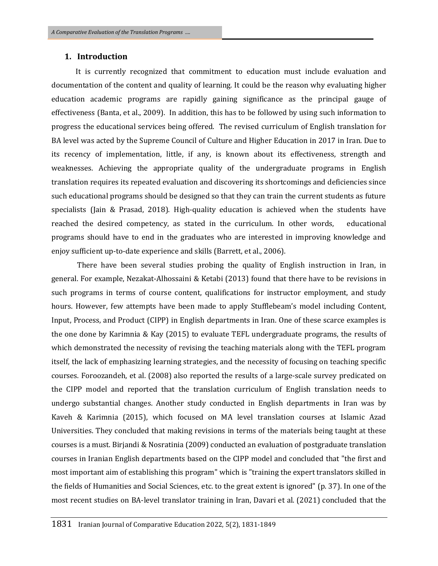## **1. Introduction**

 It is currently recognized that commitment to education must include evaluation and documentation of the content and quality of learning. It could be the reason why evaluating higher education academic programs are rapidly gaining significance as the principal gauge of effectiveness (Banta, et al., 2009). In addition, this has to be followed by using such information to progress the educational services being offered. The revised curriculum of English translation for BA level was acted by the Supreme Council of Culture and Higher Education in 2017 in Iran. Due to its recency of implementation, little, if any, is known about its effectiveness, strength and weaknesses. Achieving the appropriate quality of the undergraduate programs in English translation requires its repeated evaluation and discovering its shortcomings and deficiencies since such educational programs should be designed so that they can train the current students as future specialists (Jain & Prasad, 2018). High-quality education is achieved when the students have reached the desired competency, as stated in the curriculum. In other words, educational programs should have to end in the graduates who are interested in improving knowledge and enjoy sufficient up-to-date experience and skills (Barrett, et al., 2006).

There have been several studies probing the quality of English instruction in Iran, in general. For example, Nezakat-Alhossaini & Ketabi (2013) found that there have to be revisions in such programs in terms of course content, qualifications for instructor employment, and study hours. However, few attempts have been made to apply Stufflebeam's model including Content, Input, Process, and Product (CIPP) in English departments in Iran. One of these scarce examples is the one done by Karimnia & Kay (2015) to evaluate TEFL undergraduate programs, the results of which demonstrated the necessity of revising the teaching materials along with the TEFL program itself, the lack of emphasizing learning strategies, and the necessity of focusing on teaching specific courses. Foroozandeh, et al. (2008) also reported the results of a large-scale survey predicated on the CIPP model and reported that the translation curriculum of English translation needs to undergo substantial changes. Another study conducted in English departments in Iran was by Kaveh & Karimnia (2015), which focused on MA level translation courses at Islamic Azad Universities. They concluded that making revisions in terms of the materials being taught at these courses is a must. Birjandi & Nosratinia (2009) conducted an evaluation of postgraduate translation courses in Iranian English departments based on the CIPP model and concluded that "the first and most important aim of establishing this program" which is "training the expert translators skilled in the fields of Humanities and Social Sciences, etc. to the great extent is ignored" (p. 37). In one of the most recent studies on BA-level translator training in Iran, Davari et al. (2021) concluded that the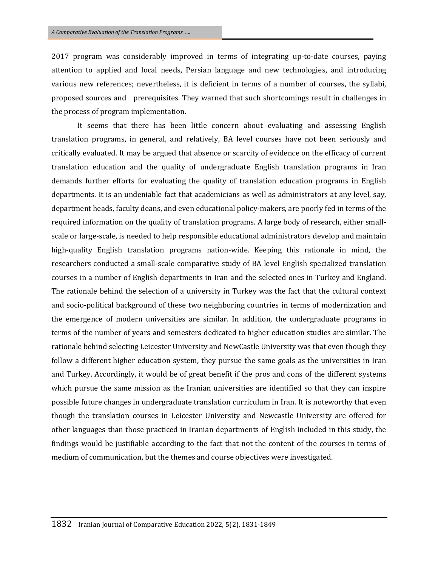2017 program was considerably improved in terms of integrating up-to-date courses, paying attention to applied and local needs, Persian language and new technologies, and introducing various new references; nevertheless, it is deficient in terms of a number of courses, the syllabi, proposed sources and prerequisites. They warned that such shortcomings result in challenges in the process of program implementation.

It seems that there has been little concern about evaluating and assessing English translation programs, in general, and relatively, BA level courses have not been seriously and critically evaluated. It may be argued that absence or scarcity of evidence on the efficacy of current translation education and the quality of undergraduate English translation programs in Iran demands further efforts for evaluating the quality of translation education programs in English departments. It is an undeniable fact that academicians as well as administrators at any level, say, department heads, faculty deans, and even educational policy-makers, are poorly fed in terms of the required information on the quality of translation programs. A large body of research, either smallscale or large-scale, is needed to help responsible educational administrators develop and maintain high-quality English translation programs nation-wide. Keeping this rationale in mind, the researchers conducted a small-scale comparative study of BA level English specialized translation courses in a number of English departments in Iran and the selected ones in Turkey and England. The rationale behind the selection of a university in Turkey was the fact that the cultural context and socio-political background of these two neighboring countries in terms of modernization and the emergence of modern universities are similar. In addition, the undergraduate programs in terms of the number of years and semesters dedicated to higher education studies are similar. The rationale behind selecting Leicester University and NewCastle University was that even though they follow a different higher education system, they pursue the same goals as the universities in Iran and Turkey. Accordingly, it would be of great benefit if the pros and cons of the different systems which pursue the same mission as the Iranian universities are identified so that they can inspire possible future changes in undergraduate translation curriculum in Iran. It is noteworthy that even though the translation courses in Leicester University and Newcastle University are offered for other languages than those practiced in Iranian departments of English included in this study, the findings would be justifiable according to the fact that not the content of the courses in terms of medium of communication, but the themes and course objectives were investigated.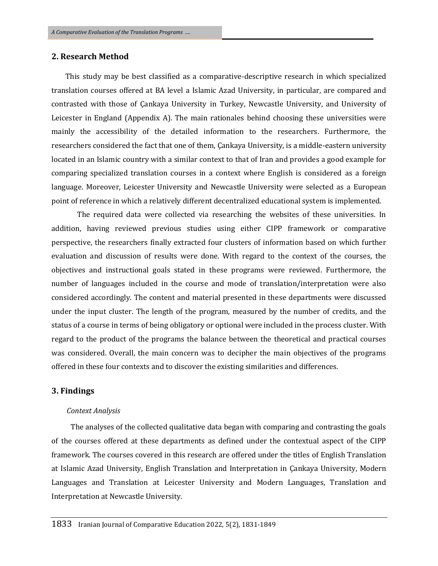# **2. Research Method**

 This study may be best classified as a comparative-descriptive research in which specialized translation courses offered at BA level a Islamic Azad University, in particular, are compared and contrasted with those of Çankaya University in Turkey, Newcastle University, and University of Leicester in England (Appendix A). The main rationales behind choosing these universities were mainly the accessibility of the detailed information to the researchers. Furthermore, the researchers considered the fact that one of them, Çankaya University, is a middle-eastern university located in an Islamic country with a similar context to that of Iran and provides a good example for comparing specialized translation courses in a context where English is considered as a foreign language. Moreover, Leicester University and Newcastle University were selected as a European point of reference in which a relatively different decentralized educational system is implemented.

The required data were collected via researching the websites of these universities. In addition, having reviewed previous studies using either CIPP framework or comparative perspective, the researchers finally extracted four clusters of information based on which further evaluation and discussion of results were done. With regard to the context of the courses, the objectives and instructional goals stated in these programs were reviewed. Furthermore, the number of languages included in the course and mode of translation/interpretation were also considered accordingly. The content and material presented in these departments were discussed under the input cluster. The length of the program, measured by the number of credits, and the status of a course in terms of being obligatory or optional were included in the process cluster. With regard to the product of the programs the balance between the theoretical and practical courses was considered. Overall, the main concern was to decipher the main objectives of the programs offered in these four contexts and to discover the existing similarities and differences.

# **3. Findings**

#### *Context Analysis*

The analyses of the collected qualitative data began with comparing and contrasting the goals of the courses offered at these departments as defined under the contextual aspect of the CIPP framework. The courses covered in this research are offered under the titles of English Translation at Islamic Azad University, English Translation and Interpretation in Çankaya University, Modern Languages and Translation at Leicester University and Modern Languages, Translation and Interpretation at Newcastle University.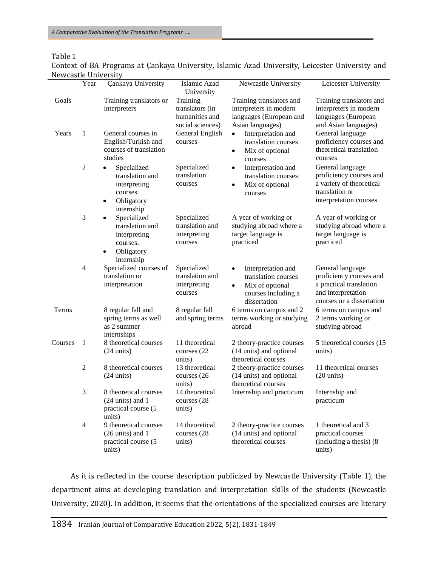# Table 1

Context of BA Programs at Çankaya University, Islamic Azad University, Leicester University and Newcastle University

| 1011000000     | Year           | <b>Çankaya University</b>                                                                                                 | Islamic Azad<br>University                                                                      | Newcastle University                                                                                                                                                                                   | Leicester University                                                                                                                                                                   |
|----------------|----------------|---------------------------------------------------------------------------------------------------------------------------|-------------------------------------------------------------------------------------------------|--------------------------------------------------------------------------------------------------------------------------------------------------------------------------------------------------------|----------------------------------------------------------------------------------------------------------------------------------------------------------------------------------------|
| Goals<br>Years | 1              | Training translators or<br>interpreters<br>General courses in<br>English/Turkish and<br>courses of translation<br>studies | Training<br>translators (in<br>humanities and<br>social sciences)<br>General English<br>courses | Training translators and<br>interpreters in modern<br>languages (European and<br>Asian languages)<br>Interpretation and<br>$\bullet$<br>translation courses<br>Mix of optional<br>$\bullet$<br>courses | Training translators and<br>interpreters in modern<br>languages (European<br>and Asian languages)<br>General language<br>proficiency courses and<br>theoretical translation<br>courses |
|                | $\overline{c}$ | Specialized<br>translation and<br>interpreting<br>courses.<br>Obligatory<br>internship                                    | Specialized<br>translation<br>courses                                                           | Interpretation and<br>$\bullet$<br>translation courses<br>Mix of optional<br>$\bullet$<br>courses                                                                                                      | General language<br>proficiency courses and<br>a variety of theoretical<br>translation or<br>interpretation courses                                                                    |
|                | 3              | Specialized<br>translation and<br>interpreting<br>courses.<br>Obligatory<br>$\bullet$<br>internship                       | Specialized<br>translation and<br>interpreting<br>courses                                       | A year of working or<br>studying abroad where a<br>target language is<br>practiced                                                                                                                     | A year of working or<br>studying abroad where a<br>target language is<br>practiced                                                                                                     |
|                | $\overline{4}$ | Specialized courses of<br>translation or<br>interpretation                                                                | Specialized<br>translation and<br>interpreting<br>courses                                       | Interpretation and<br>$\bullet$<br>translation courses<br>Mix of optional<br>$\bullet$<br>courses including a<br>dissertation                                                                          | General language<br>proficiency courses and<br>a practical translation<br>and interpretation<br>courses or a dissertation                                                              |
| Terms          |                | 8 regular fall and<br>spring terms as well<br>as 2 summer<br>internships                                                  | 8 regular fall<br>and spring terms                                                              | 6 terms on campus and 2<br>terms working or studying<br>abroad                                                                                                                                         | 6 terms on campus and<br>2 terms working or<br>studying abroad                                                                                                                         |
| Courses        | 1              | 8 theoretical courses<br>$(24 \text{ units})$                                                                             | 11 theoretical<br>courses (22)<br>units)                                                        | 2 theory-practice courses<br>(14 units) and optional<br>theoretical courses                                                                                                                            | 5 theoretical courses (15)<br>units)                                                                                                                                                   |
|                | $\overline{2}$ | 8 theoretical courses<br>$(24 \text{ units})$                                                                             | 13 theoretical<br>courses (26<br>units)                                                         | 2 theory-practice courses<br>(14 units) and optional<br>theoretical courses                                                                                                                            | 11 theoretical courses<br>$(20 \text{ units})$                                                                                                                                         |
|                | 3              | 8 theoretical courses<br>$(24 \text{ units})$ and 1<br>practical course (5<br>units)                                      | 14 theoretical<br>courses (28<br>units)                                                         | Internship and practicum                                                                                                                                                                               | Internship and<br>practicum                                                                                                                                                            |
|                | $\overline{4}$ | 9 theoretical courses<br>(26 units) and 1<br>practical course (5<br>units)                                                | 14 theoretical<br>courses (28<br>units)                                                         | 2 theory-practice courses<br>(14 units) and optional<br>theoretical courses                                                                                                                            | 1 theoretical and 3<br>practical courses<br>(including a thesis) (8)<br>units)                                                                                                         |

As it is reflected in the course description publicized by Newcastle University (Table 1), the department aims at developing translation and interpretation skills of the students (Newcastle University, 2020). In addition, it seems that the orientations of the specialized courses are literary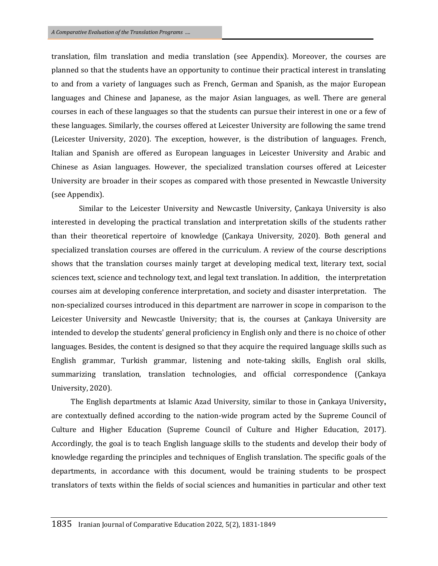translation, film translation and media translation (see Appendix). Moreover, the courses are planned so that the students have an opportunity to continue their practical interest in translating to and from a variety of languages such as French, German and Spanish, as the major European languages and Chinese and Japanese, as the major Asian languages, as well. There are general courses in each of these languages so that the students can pursue their interest in one or a few of these languages. Similarly, the courses offered at Leicester University are following the same trend (Leicester University, 2020). The exception, however, is the distribution of languages. French, Italian and Spanish are offered as European languages in Leicester University and Arabic and Chinese as Asian languages. However, the specialized translation courses offered at Leicester University are broader in their scopes as compared with those presented in Newcastle University (see Appendix).

Similar to the Leicester University and Newcastle University, Çankaya University is also interested in developing the practical translation and interpretation skills of the students rather than their theoretical repertoire of knowledge (Çankaya University, 2020). Both general and specialized translation courses are offered in the curriculum. A review of the course descriptions shows that the translation courses mainly target at developing medical text, literary text, social sciences text, science and technology text, and legal text translation. In addition, the interpretation courses aim at developing conference interpretation, and society and disaster interpretation. The non-specialized courses introduced in this department are narrower in scope in comparison to the Leicester University and Newcastle University; that is, the courses at Çankaya University are intended to develop the students' general proficiency in English only and there is no choice of other languages. Besides, the content is designed so that they acquire the required language skills such as English grammar, Turkish grammar, listening and note-taking skills, English oral skills, summarizing translation, translation technologies, and official correspondence (Çankaya University, 2020).

The English departments at Islamic Azad University, similar to those in Çankaya University**,** are contextually defined according to the nation-wide program acted by the Supreme Council of Culture and Higher Education (Supreme Council of Culture and Higher Education, 2017). Accordingly, the goal is to teach English language skills to the students and develop their body of knowledge regarding the principles and techniques of English translation. The specific goals of the departments, in accordance with this document, would be training students to be prospect translators of texts within the fields of social sciences and humanities in particular and other text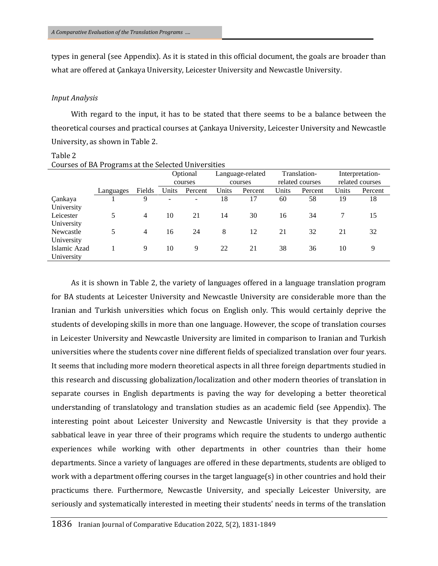types in general (see Appendix). As it is stated in this official document, the goals are broader than what are offered at Çankaya University, Leicester University and Newcastle University.

#### *Input Analysis*

With regard to the input, it has to be stated that there seems to be a balance between the theoretical courses and practical courses at Çankaya University, Leicester University and Newcastle University, as shown in Table 2.

Table 2 Courses of BA Programs at the Selected Universities

|              |           |                |       | Optional                 |       | Language-related |       | Translation-    |       | Interpretation- |
|--------------|-----------|----------------|-------|--------------------------|-------|------------------|-------|-----------------|-------|-----------------|
|              |           |                |       | courses                  |       | courses          |       | related courses |       | related courses |
|              | Languages | Fields         | Units | Percent                  | Units | Percent          | Units | Percent         | Units | Percent         |
| Çankaya      |           | 9              |       | $\overline{\phantom{a}}$ | 18    | 17               | 60    | 58              | 19    | 18              |
| University   |           |                |       |                          |       |                  |       |                 |       |                 |
| Leicester    | 5         | $\overline{4}$ | 10    | 21                       | 14    | 30               | 16    | 34              |       | 15              |
| University   |           |                |       |                          |       |                  |       |                 |       |                 |
| Newcastle    | 5         | 4              | 16    | 24                       | 8     | 12               | 21    | 32              | 21    | 32              |
| University   |           |                |       |                          |       |                  |       |                 |       |                 |
| Islamic Azad |           | 9              | 10    | 9                        | 22    | 21               | 38    | 36              | 10    | 9               |
| University   |           |                |       |                          |       |                  |       |                 |       |                 |

As it is shown in Table 2, the variety of languages offered in a language translation program for BA students at Leicester University and Newcastle University are considerable more than the Iranian and Turkish universities which focus on English only. This would certainly deprive the students of developing skills in more than one language. However, the scope of translation courses in Leicester University and Newcastle University are limited in comparison to Iranian and Turkish universities where the students cover nine different fields of specialized translation over four years. It seems that including more modern theoretical aspects in all three foreign departments studied in this research and discussing globalization/localization and other modern theories of translation in separate courses in English departments is paving the way for developing a better theoretical understanding of translatology and translation studies as an academic field (see Appendix). The interesting point about Leicester University and Newcastle University is that they provide a sabbatical leave in year three of their programs which require the students to undergo authentic experiences while working with other departments in other countries than their home departments. Since a variety of languages are offered in these departments, students are obliged to work with a department offering courses in the target language(s) in other countries and hold their practicums there. Furthermore, Newcastle University, and specially Leicester University, are seriously and systematically interested in meeting their students' needs in terms of the translation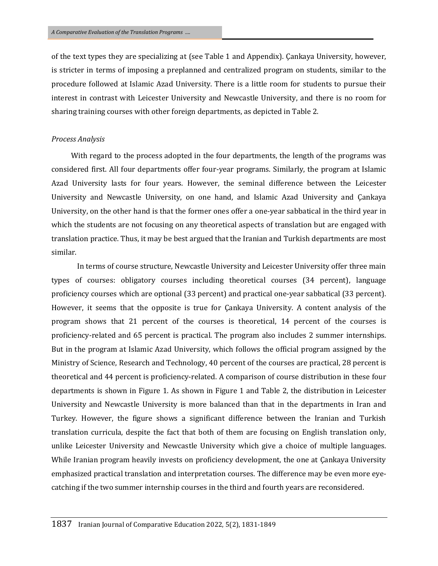of the text types they are specializing at (see Table 1 and Appendix). Çankaya University, however, is stricter in terms of imposing a preplanned and centralized program on students, similar to the procedure followed at Islamic Azad University. There is a little room for students to pursue their interest in contrast with Leicester University and Newcastle University, and there is no room for sharing training courses with other foreign departments, as depicted in Table 2.

#### *Process Analysis*

With regard to the process adopted in the four departments, the length of the programs was considered first. All four departments offer four-year programs. Similarly, the program at Islamic Azad University lasts for four years. However, the seminal difference between the Leicester University and Newcastle University, on one hand, and Islamic Azad University and Çankaya University, on the other hand is that the former ones offer a one-year sabbatical in the third year in which the students are not focusing on any theoretical aspects of translation but are engaged with translation practice. Thus, it may be best argued that the Iranian and Turkish departments are most similar.

In terms of course structure, Newcastle University and Leicester University offer three main types of courses: obligatory courses including theoretical courses (34 percent), language proficiency courses which are optional (33 percent) and practical one-year sabbatical (33 percent). However, it seems that the opposite is true for Çankaya University. A content analysis of the program shows that 21 percent of the courses is theoretical, 14 percent of the courses is proficiency-related and 65 percent is practical. The program also includes 2 summer internships. But in the program at Islamic Azad University, which follows the official program assigned by the Ministry of Science, Research and Technology, 40 percent of the courses are practical, 28 percent is theoretical and 44 percent is proficiency-related. A comparison of course distribution in these four departments is shown in Figure 1. As shown in Figure 1 and Table 2, the distribution in Leicester University and Newcastle University is more balanced than that in the departments in Iran and Turkey. However, the figure shows a significant difference between the Iranian and Turkish translation curricula, despite the fact that both of them are focusing on English translation only, unlike Leicester University and Newcastle University which give a choice of multiple languages. While Iranian program heavily invests on proficiency development, the one at Çankaya University emphasized practical translation and interpretation courses. The difference may be even more eyecatching if the two summer internship courses in the third and fourth years are reconsidered.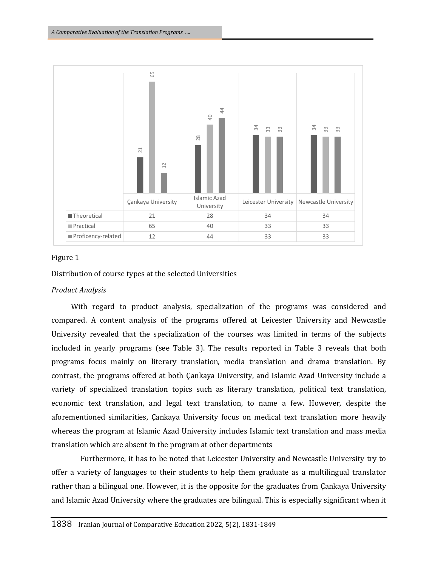

## Figure 1

Distribution of course types at the selected Universities

# *Product Analysis*

With regard to product analysis, specialization of the programs was considered and compared. A content analysis of the programs offered at Leicester University and Newcastle University revealed that the specialization of the courses was limited in terms of the subjects included in yearly programs (see Table 3). The results reported in Table 3 reveals that both programs focus mainly on literary translation, media translation and drama translation. By contrast, the programs offered at both Çankaya University, and Islamic Azad University include a variety of specialized translation topics such as literary translation, political text translation, economic text translation, and legal text translation, to name a few. However, despite the aforementioned similarities, Çankaya University focus on medical text translation more heavily whereas the program at Islamic Azad University includes Islamic text translation and mass media translation which are absent in the program at other departments

Furthermore, it has to be noted that Leicester University and Newcastle University try to offer a variety of languages to their students to help them graduate as a multilingual translator rather than a bilingual one. However, it is the opposite for the graduates from Çankaya University and Islamic Azad University where the graduates are bilingual. This is especially significant when it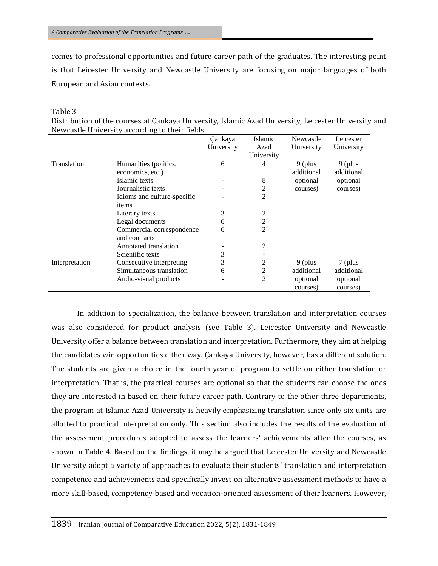comes to professional opportunities and future career path of the graduates. The interesting point is that Leicester University and Newcastle University are focusing on major languages of both European and Asian contexts.

#### Table 3

Distribution of the courses at Çankaya University, Islamic Azad University, Leicester University and Newcastle University according to their fields

|                |                             | Cankaya    | Islamic        | Newcastle  | Leicester  |
|----------------|-----------------------------|------------|----------------|------------|------------|
|                |                             | University | Azad           | University | University |
|                |                             |            | University     |            |            |
| Translation    | Humanities (politics,       | 6          | 4              | 9 (plus    | $9$ (plus  |
|                | economics, etc.)            |            |                | additional | additional |
|                | Islamic texts               |            | 8              | optional   | optional   |
|                | Journalistic texts          |            | 2              | courses)   | courses)   |
|                | Idioms and culture-specific |            | 2              |            |            |
|                | items                       |            |                |            |            |
|                | Literary texts              | 3          | 2              |            |            |
|                | Legal documents             | 6          | 2              |            |            |
|                | Commercial correspondence   | 6          | $\overline{c}$ |            |            |
|                | and contracts               |            |                |            |            |
|                | Annotated translation       |            | 2              |            |            |
|                | Scientific texts            | 3          |                |            |            |
| Interpretation | Consecutive interpreting    | 3          | 2              | 9 (plus    | 7 (plus    |
|                | Simultaneous translation    | 6          | $\overline{c}$ | additional | additional |
|                | Audio-visual products       |            | $\overline{2}$ | optional   | optional   |
|                |                             |            |                | courses)   | courses)   |

In addition to specialization, the balance between translation and interpretation courses was also considered for product analysis (see Table 3). Leicester University and Newcastle University offer a balance between translation and interpretation. Furthermore, they aim at helping the candidates win opportunities either way. Çankaya University, however, has a different solution. The students are given a choice in the fourth year of program to settle on either translation or interpretation. That is, the practical courses are optional so that the students can choose the ones they are interested in based on their future career path. Contrary to the other three departments, the program at Islamic Azad University is heavily emphasizing translation since only six units are allotted to practical interpretation only. This section also includes the results of the evaluation of the assessment procedures adopted to assess the learners' achievements after the courses, as shown in Table 4. Based on the findings, it may be argued that Leicester University and Newcastle University adopt a variety of approaches to evaluate their students' translation and interpretation competence and achievements and specifically invest on alternative assessment methods to have a more skill-based, competency-based and vocation-oriented assessment of their learners. However,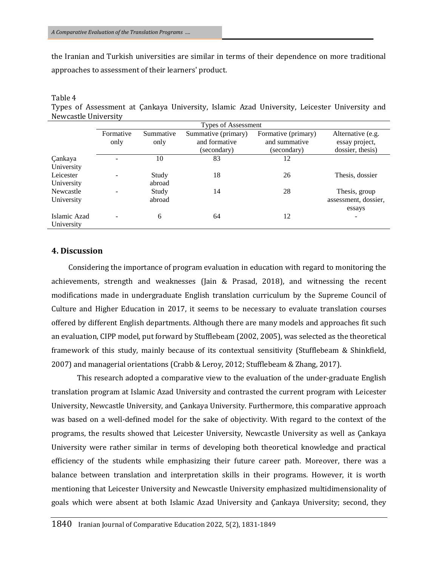the Iranian and Turkish universities are similar in terms of their dependence on more traditional approaches to assessment of their learners' product.

#### Table 4

Types of Assessment at Çankaya University, Islamic Azad University, Leicester University and Newcastle University

|              | Types of Assessment |                   |               |               |                      |  |  |
|--------------|---------------------|-------------------|---------------|---------------|----------------------|--|--|
|              | Formative           | Alternative (e.g. |               |               |                      |  |  |
|              | only                | only              | and formative | and summative | essay project,       |  |  |
|              |                     |                   | (secondary)   | (secondary)   | dossier, thesis)     |  |  |
| Çankaya      |                     | 10                | 83            | 12            |                      |  |  |
| University   |                     |                   |               |               |                      |  |  |
| Leicester    |                     | Study             | 18            | 26            | Thesis, dossier      |  |  |
| University   |                     | abroad            |               |               |                      |  |  |
| Newcastle    |                     | Study             | 14            | 28            | Thesis, group        |  |  |
| University   |                     | abroad            |               |               | assessment, dossier, |  |  |
|              |                     |                   |               |               | essays               |  |  |
| Islamic Azad |                     | 6                 | 64            | 12            | ۰                    |  |  |
| University   |                     |                   |               |               |                      |  |  |

# **4. Discussion**

Considering the importance of program evaluation in education with regard to monitoring the achievements, strength and weaknesses (Jain & Prasad, 2018), and witnessing the recent modifications made in undergraduate English translation curriculum by the Supreme Council of Culture and Higher Education in 2017, it seems to be necessary to evaluate translation courses offered by different English departments. Although there are many models and approaches fit such an evaluation, CIPP model, put forward by Stufflebeam (2002, 2005), was selected as the theoretical framework of this study, mainly because of its contextual sensitivity (Stufflebeam & Shinkfield, 2007) and managerial orientations (Crabb & Leroy, 2012; Stufflebeam & Zhang, 2017).

This research adopted a comparative view to the evaluation of the under-graduate English translation program at Islamic Azad University and contrasted the current program with Leicester University, Newcastle University, and Çankaya University. Furthermore, this comparative approach was based on a well-defined model for the sake of objectivity. With regard to the context of the programs, the results showed that Leicester University, Newcastle University as well as Çankaya University were rather similar in terms of developing both theoretical knowledge and practical efficiency of the students while emphasizing their future career path. Moreover, there was a balance between translation and interpretation skills in their programs. However, it is worth mentioning that Leicester University and Newcastle University emphasized multidimensionality of goals which were absent at both Islamic Azad University and Çankaya University; second, they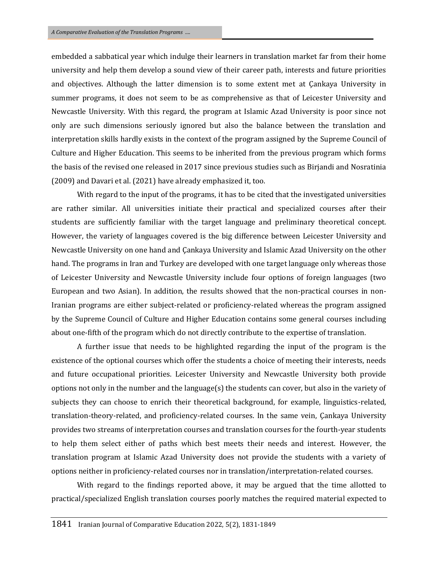embedded a sabbatical year which indulge their learners in translation market far from their home university and help them develop a sound view of their career path, interests and future priorities and objectives. Although the latter dimension is to some extent met at Çankaya University in summer programs, it does not seem to be as comprehensive as that of Leicester University and Newcastle University. With this regard, the program at Islamic Azad University is poor since not only are such dimensions seriously ignored but also the balance between the translation and interpretation skills hardly exists in the context of the program assigned by the Supreme Council of Culture and Higher Education. This seems to be inherited from the previous program which forms the basis of the revised one released in 2017 since previous studies such as Birjandi and Nosratinia (2009) and Davari et al. (2021) have already emphasized it, too.

With regard to the input of the programs, it has to be cited that the investigated universities are rather similar. All universities initiate their practical and specialized courses after their students are sufficiently familiar with the target language and preliminary theoretical concept. However, the variety of languages covered is the big difference between Leicester University and Newcastle University on one hand and Çankaya University and Islamic Azad University on the other hand. The programs in Iran and Turkey are developed with one target language only whereas those of Leicester University and Newcastle University include four options of foreign languages (two European and two Asian). In addition, the results showed that the non-practical courses in non-Iranian programs are either subject-related or proficiency-related whereas the program assigned by the Supreme Council of Culture and Higher Education contains some general courses including about one-fifth of the program which do not directly contribute to the expertise of translation.

A further issue that needs to be highlighted regarding the input of the program is the existence of the optional courses which offer the students a choice of meeting their interests, needs and future occupational priorities. Leicester University and Newcastle University both provide options not only in the number and the language(s) the students can cover, but also in the variety of subjects they can choose to enrich their theoretical background, for example, linguistics-related, translation-theory-related, and proficiency-related courses. In the same vein, Çankaya University provides two streams of interpretation courses and translation courses for the fourth-year students to help them select either of paths which best meets their needs and interest. However, the translation program at Islamic Azad University does not provide the students with a variety of options neither in proficiency-related courses nor in translation/interpretation-related courses.

With regard to the findings reported above, it may be argued that the time allotted to practical/specialized English translation courses poorly matches the required material expected to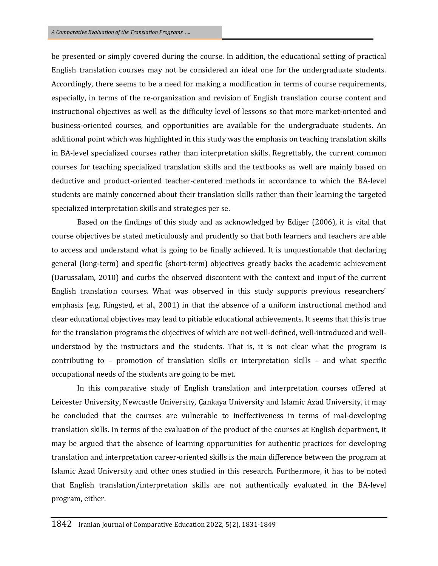be presented or simply covered during the course. In addition, the educational setting of practical English translation courses may not be considered an ideal one for the undergraduate students. Accordingly, there seems to be a need for making a modification in terms of course requirements, especially, in terms of the re-organization and revision of English translation course content and instructional objectives as well as the difficulty level of lessons so that more market-oriented and business-oriented courses, and opportunities are available for the undergraduate students. An additional point which was highlighted in this study was the emphasis on teaching translation skills in BA-level specialized courses rather than interpretation skills. Regrettably, the current common courses for teaching specialized translation skills and the textbooks as well are mainly based on deductive and product-oriented teacher-centered methods in accordance to which the BA-level students are mainly concerned about their translation skills rather than their learning the targeted specialized interpretation skills and strategies per se.

Based on the findings of this study and as acknowledged by Ediger (2006), it is vital that course objectives be stated meticulously and prudently so that both learners and teachers are able to access and understand what is going to be finally achieved. It is unquestionable that declaring general (long-term) and specific (short-term) objectives greatly backs the academic achievement (Darussalam, 2010) and curbs the observed discontent with the context and input of the current English translation courses. What was observed in this study supports previous researchers' emphasis (e.g. Ringsted, et al., 2001) in that the absence of a uniform instructional method and clear educational objectives may lead to pitiable educational achievements. It seems that this is true for the translation programs the objectives of which are not well-defined, well-introduced and wellunderstood by the instructors and the students. That is, it is not clear what the program is contributing to – promotion of translation skills or interpretation skills – and what specific occupational needs of the students are going to be met.

In this comparative study of English translation and interpretation courses offered at Leicester University, Newcastle University, Çankaya University and Islamic Azad University, it may be concluded that the courses are vulnerable to ineffectiveness in terms of mal-developing translation skills. In terms of the evaluation of the product of the courses at English department, it may be argued that the absence of learning opportunities for authentic practices for developing translation and interpretation career-oriented skills is the main difference between the program at Islamic Azad University and other ones studied in this research. Furthermore, it has to be noted that English translation/interpretation skills are not authentically evaluated in the BA-level program, either.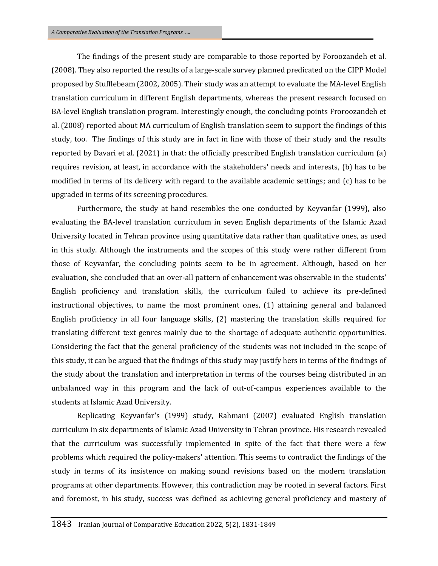The findings of the present study are comparable to those reported by Foroozandeh et al. (2008). They also reported the results of a large-scale survey planned predicated on the CIPP Model proposed by Stufflebeam (2002, 2005). Their study was an attempt to evaluate the MA-level English translation curriculum in different English departments, whereas the present research focused on BA-level English translation program. Interestingly enough, the concluding points Froroozandeh et al. (2008) reported about MA curriculum of English translation seem to support the findings of this study, too. The findings of this study are in fact in line with those of their study and the results reported by Davari et al. (2021) in that: the officially prescribed English translation curriculum (a) requires revision, at least, in accordance with the stakeholders' needs and interests, (b) has to be modified in terms of its delivery with regard to the available academic settings; and (c) has to be upgraded in terms of its screening procedures.

Furthermore, the study at hand resembles the one conducted by Keyvanfar (1999), also evaluating the BA-level translation curriculum in seven English departments of the Islamic Azad University located in Tehran province using quantitative data rather than qualitative ones, as used in this study. Although the instruments and the scopes of this study were rather different from those of Keyvanfar, the concluding points seem to be in agreement. Although, based on her evaluation, she concluded that an over-all pattern of enhancement was observable in the students' English proficiency and translation skills, the curriculum failed to achieve its pre-defined instructional objectives, to name the most prominent ones, (1) attaining general and balanced English proficiency in all four language skills, (2) mastering the translation skills required for translating different text genres mainly due to the shortage of adequate authentic opportunities. Considering the fact that the general proficiency of the students was not included in the scope of this study, it can be argued that the findings of this study may justify hers in terms of the findings of the study about the translation and interpretation in terms of the courses being distributed in an unbalanced way in this program and the lack of out-of-campus experiences available to the students at Islamic Azad University.

Replicating Keyvanfar's (1999) study, Rahmani (2007) evaluated English translation curriculum in six departments of Islamic Azad University in Tehran province. His research revealed that the curriculum was successfully implemented in spite of the fact that there were a few problems which required the policy-makers' attention. This seems to contradict the findings of the study in terms of its insistence on making sound revisions based on the modern translation programs at other departments. However, this contradiction may be rooted in several factors. First and foremost, in his study, success was defined as achieving general proficiency and mastery of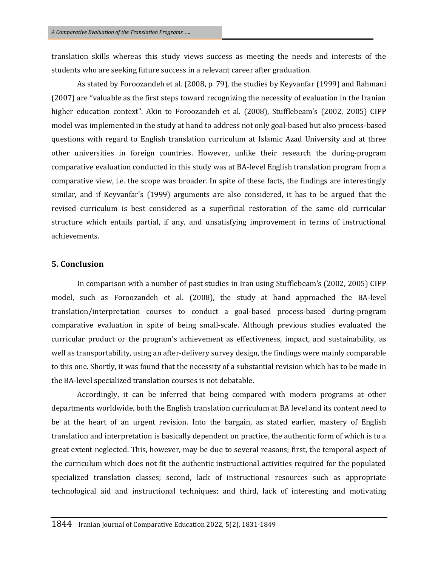translation skills whereas this study views success as meeting the needs and interests of the students who are seeking future success in a relevant career after graduation.

As stated by Foroozandeh et al. (2008, p. 79), the studies by Keyvanfar (1999) and Rahmani (2007) are "valuable as the first steps toward recognizing the necessity of evaluation in the Iranian higher education context". Akin to Foroozandeh et al. (2008), Stufflebeam's (2002, 2005) CIPP model was implemented in the study at hand to address not only goal-based but also process-based questions with regard to English translation curriculum at Islamic Azad University and at three other universities in foreign countries. However, unlike their research the during-program comparative evaluation conducted in this study was at BA-level English translation program from a comparative view, i.e. the scope was broader. In spite of these facts, the findings are interestingly similar, and if Keyvanfar's (1999) arguments are also considered, it has to be argued that the revised curriculum is best considered as a superficial restoration of the same old curricular structure which entails partial, if any, and unsatisfying improvement in terms of instructional achievements.

## **5. Conclusion**

In comparison with a number of past studies in Iran using Stufflebeam's (2002, 2005) CIPP model, such as Foroozandeh et al. (2008), the study at hand approached the BA-level translation/interpretation courses to conduct a goal-based process-based during-program comparative evaluation in spite of being small-scale. Although previous studies evaluated the curricular product or the program's achievement as effectiveness, impact, and sustainability, as well as transportability, using an after-delivery survey design, the findings were mainly comparable to this one. Shortly, it was found that the necessity of a substantial revision which has to be made in the BA-level specialized translation courses is not debatable.

Accordingly, it can be inferred that being compared with modern programs at other departments worldwide, both the English translation curriculum at BA level and its content need to be at the heart of an urgent revision. Into the bargain, as stated earlier, mastery of English translation and interpretation is basically dependent on practice, the authentic form of which is to a great extent neglected. This, however, may be due to several reasons; first, the temporal aspect of the curriculum which does not fit the authentic instructional activities required for the populated specialized translation classes; second, lack of instructional resources such as appropriate technological aid and instructional techniques; and third, lack of interesting and motivating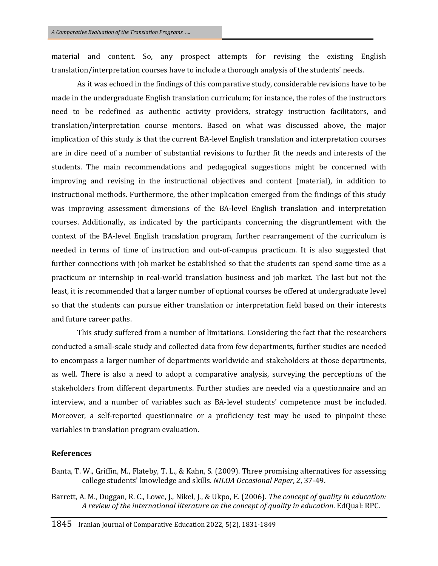material and content. So, any prospect attempts for revising the existing English translation/interpretation courses have to include a thorough analysis of the students' needs.

As it was echoed in the findings of this comparative study, considerable revisions have to be made in the undergraduate English translation curriculum; for instance, the roles of the instructors need to be redefined as authentic activity providers, strategy instruction facilitators, and translation/interpretation course mentors. Based on what was discussed above, the major implication of this study is that the current BA-level English translation and interpretation courses are in dire need of a number of substantial revisions to further fit the needs and interests of the students. The main recommendations and pedagogical suggestions might be concerned with improving and revising in the instructional objectives and content (material), in addition to instructional methods. Furthermore, the other implication emerged from the findings of this study was improving assessment dimensions of the BA-level English translation and interpretation courses. Additionally, as indicated by the participants concerning the disgruntlement with the context of the BA-level English translation program, further rearrangement of the curriculum is needed in terms of time of instruction and out-of-campus practicum. It is also suggested that further connections with job market be established so that the students can spend some time as a practicum or internship in real-world translation business and job market. The last but not the least, it is recommended that a larger number of optional courses be offered at undergraduate level so that the students can pursue either translation or interpretation field based on their interests and future career paths.

This study suffered from a number of limitations. Considering the fact that the researchers conducted a small-scale study and collected data from few departments, further studies are needed to encompass a larger number of departments worldwide and stakeholders at those departments, as well. There is also a need to adopt a comparative analysis, surveying the perceptions of the stakeholders from different departments. Further studies are needed via a questionnaire and an interview, and a number of variables such as BA-level students' competence must be included. Moreover, a self-reported questionnaire or a proficiency test may be used to pinpoint these variables in translation program evaluation.

# **References**

- Banta, T. W., Griffin, M., Flateby, T. L., & Kahn, S. (2009). Three promising alternatives for assessing college students' knowledge and skills. *NILOA Occasional Paper*, *2*, 37-49.
- Barrett, A. M., Duggan, R. C., Lowe, J., Nikel, J., & Ukpo, E. (2006). *The concept of quality in education: A review of the international literature on the concept of quality in education*. EdQual: RPC.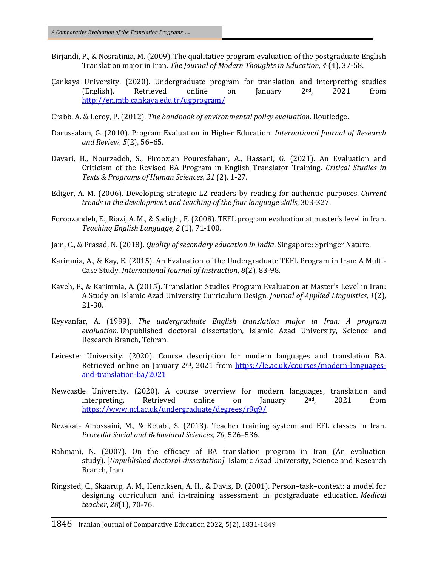- Birjandi, P., & Nosratinia, M. (2009). The qualitative program evaluation of the postgraduate English Translation major in Iran. *The Journal of Modern Thoughts in Education, 4* (4), 37-58.
- Çankaya University. (2020). Undergraduate program for translation and interpreting studies (English). Retrieved online on January 2nd, 2021 from <http://en.mtb.cankaya.edu.tr/ugprogram/>
- Crabb, A. & Leroy, P. (2012). *The handbook of environmental policy evaluation*. Routledge.
- Darussalam, G. (2010). Program Evaluation in Higher Education. *International Journal of Research and Review, 5*(2), 56–65.
- Davari, H., Nourzadeh, S., Firoozian Pouresfahani, A., Hassani, G. (2021). An Evaluation and Criticism of the Revised BA Program in English Translator Training. *Critical Studies in Texts & Programs of Human Sciences*, *21* (2), 1-27.
- Ediger, A. M. (2006). Developing strategic L2 readers by reading for authentic purposes. *Current trends in the development and teaching of the four language skills*, 303-327.
- Foroozandeh, E., Riazi, A. M., & Sadighi, F. (2008). TEFL program evaluation at master's level in Iran. *Teaching English Language, 2* (1), 71-100.
- Jain, C., & Prasad, N. (2018). *Quality of secondary education in India*. Singapore: Springer Nature.
- Karimnia, A., & Kay, E. (2015). An Evaluation of the Undergraduate TEFL Program in Iran: A Multi-Case Study. *International Journal of Instruction*, *8*(2), 83-98.
- Kaveh, F., & Karimnia, A. (2015). Translation Studies Program Evaluation at Master's Level in Iran: A Study on Islamic Azad University Curriculum Design. *Journal of Applied Linguistics*, *1*(2), 21-30.
- Keyvanfar, A. (1999). *The undergraduate English translation major in Iran: A program evaluation.* Unpublished doctoral dissertation, Islamic Azad University, Science and Research Branch, Tehran.
- Leicester University. (2020). Course description for modern languages and translation BA. Retrieved online on January 2<sup>nd</sup>, 2021 from [https://le.ac.uk/courses/modern-languages](https://le.ac.uk/courses/modern-languages-and-translation-ba/2021)[and-translation-ba/2021](https://le.ac.uk/courses/modern-languages-and-translation-ba/2021)
- Newcastle University. (2020). A course overview for modern languages, translation and interpreting. Retrieved online on January  $2<sup>nd</sup>$ , 2021 from <https://www.ncl.ac.uk/undergraduate/degrees/r9q9/>
- Nezakat- Alhossaini, M., & Ketabi, S. (2013). Teacher training system and EFL classes in Iran. *Procedia Social and Behavioral Sciences, 70*, 526–536.
- Rahmani, N. (2007). On the efficacy of BA translation program in Iran (An evaluation study). [*Unpublished doctoral dissertation].* Islamic Azad University, Science and Research Branch, Iran
- Ringsted, C., Skaarup, A. M., Henriksen, A. H., & Davis, D. (2001). Person–task–context: a model for designing curriculum and in-training assessment in postgraduate education. *Medical teacher*, *28*(1), 70-76.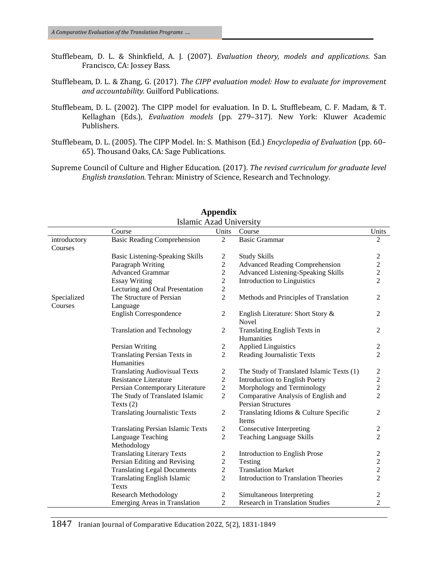- Stufflebeam, D. L. & Shinkfield, A. J. (2007). *Evaluation theory, models and applications*. San Francisco, CA: Jossey Bass.
- Stufflebeam, D. L. & Zhang, G. (2017). *The CIPP evaluation model: How to evaluate for improvement and accountability.* Guilford Publications.
- Stufflebeam, D. L. (2002). The CIPP model for evaluation. In D. L. Stufflebeam, C. F. Madam, & T. Kellaghan (Eds.), *Evaluation models* (pp. 279–317). New York: Kluwer Academic Publishers.
- Stufflebeam, D. L. (2005). The CIPP Model. In: S. Mathison (Ed.) *Encyclopedia of Evaluation* (pp. 60– 65). Thousand Oaks, CA: Sage Publications.
- Supreme Council of Culture and Higher Education. (2017). *The revised curriculum for graduate level English translation.* Tehran: Ministry of Science, Research and Technology.

|                         | Islamic Azad University                            |                |                                                                  |                                            |
|-------------------------|----------------------------------------------------|----------------|------------------------------------------------------------------|--------------------------------------------|
|                         | Course                                             | Units          | Course                                                           | Units                                      |
| introductory<br>Courses | <b>Basic Reading Comprehension</b>                 | $\overline{2}$ | <b>Basic Grammar</b>                                             | $\overline{2}$                             |
|                         | <b>Basic Listening-Speaking Skills</b>             | 2              | <b>Study Skills</b>                                              | 2                                          |
|                         | Paragraph Writing                                  | $\overline{c}$ | <b>Advanced Reading Comprehension</b>                            | $\sqrt{2}$                                 |
|                         | <b>Advanced Grammar</b>                            | $\overline{c}$ | Advanced Listening-Speaking Skills                               | $\overline{c}$                             |
|                         | <b>Essay Writing</b>                               | $\mathbf 2$    | <b>Introduction to Linguistics</b>                               | $\overline{2}$                             |
|                         | Lecturing and Oral Presentation                    | $\overline{c}$ |                                                                  |                                            |
| Specialized<br>Courses  | The Structure of Persian<br>Language               | $\overline{2}$ | Methods and Principles of Translation                            | 2                                          |
|                         | <b>English Correspondence</b>                      | $\overline{c}$ | English Literature: Short Story &<br>Novel                       | 2                                          |
|                         | <b>Translation and Technology</b>                  | 2              | Translating English Texts in<br>Humanities                       | 2                                          |
|                         | Persian Writing                                    | $\overline{c}$ | <b>Applied Linguistics</b>                                       | $\sqrt{2}$                                 |
|                         | Translating Persian Texts in<br>Humanities         | $\overline{c}$ | Reading Journalistic Texts                                       | $\overline{2}$                             |
|                         | <b>Translating Audiovisual Texts</b>               | 2              | The Study of Translated Islamic Texts (1)                        | $\overline{\mathbf{c}}$                    |
|                         | <b>Resistance Literature</b>                       | $\overline{2}$ | Introduction to English Poetry                                   |                                            |
|                         | Persian Contemporary Literature                    | $\overline{c}$ | Morphology and Terminology                                       | $\begin{array}{c} 2 \\ 2 \\ 2 \end{array}$ |
|                         | The Study of Translated Islamic<br>Texts $(2)$     | $\overline{c}$ | Comparative Analysis of English and<br><b>Persian Structures</b> |                                            |
|                         | <b>Translating Journalistic Texts</b>              | $\overline{2}$ | Translating Idioms & Culture Specific<br>Items                   | 2                                          |
|                         | <b>Translating Persian Islamic Texts</b>           | $\overline{c}$ | Consecutive Interpreting                                         | 2                                          |
|                         | Language Teaching<br>Methodology                   | $\overline{2}$ | <b>Teaching Language Skills</b>                                  | $\overline{2}$                             |
|                         | <b>Translating Literary Texts</b>                  | 2              | Introduction to English Prose                                    | $\overline{c}$                             |
|                         | Persian Editing and Revising                       | $\overline{2}$ | Testing                                                          |                                            |
|                         | <b>Translating Legal Documents</b>                 | $\overline{c}$ | <b>Translation Market</b>                                        | $\frac{2}{2}$                              |
|                         | <b>Translating English Islamic</b><br><b>Texts</b> | $\overline{2}$ | Introduction to Translation Theories                             | $\overline{2}$                             |
|                         | <b>Research Methodology</b>                        | $\sqrt{2}$     | Simultaneous Interpreting                                        | $\overline{c}$                             |
|                         | <b>Emerging Areas in Translation</b>               | $\overline{c}$ | <b>Research in Translation Studies</b>                           | $\overline{2}$                             |

# **Appendix**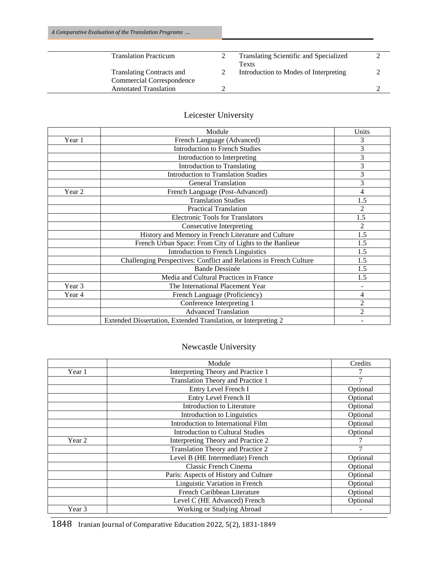| <b>Translation Practicum</b>     | Translating Scientific and Specialized |  |
|----------------------------------|----------------------------------------|--|
|                                  | Texts                                  |  |
| <b>Translating Contracts and</b> | Introduction to Modes of Interpreting  |  |
| Commercial Correspondence        |                                        |  |
| <b>Annotated Translation</b>     |                                        |  |

|        | Module                                                             | Units          |
|--------|--------------------------------------------------------------------|----------------|
| Year 1 | French Language (Advanced)                                         | 3              |
|        | <b>Introduction to French Studies</b>                              | 3              |
|        | Introduction to Interpreting                                       | 3              |
|        | Introduction to Translating                                        | 3              |
|        | <b>Introduction to Translation Studies</b>                         | 3              |
|        | <b>General Translation</b>                                         | 3              |
| Year 2 | French Language (Post-Advanced)                                    | 4              |
|        | <b>Translation Studies</b>                                         | 1.5            |
|        | <b>Practical Translation</b>                                       | $\overline{2}$ |
|        | <b>Electronic Tools for Translators</b>                            | 1.5            |
|        | Consecutive Interpreting                                           | $\overline{2}$ |
|        | History and Memory in French Literature and Culture                | 1.5            |
|        | French Urban Space: From City of Lights to the Banlieue            | 1.5            |
|        | <b>Introduction to French Linguistics</b>                          | 1.5            |
|        | Challenging Perspectives: Conflict and Relations in French Culture | 1.5            |
|        | <b>Bande Dessinée</b>                                              | 1.5            |
|        | Media and Cultural Practices in France                             | 1.5            |
| Year 3 | The International Placement Year                                   |                |
| Year 4 | French Language (Proficiency)                                      | 4              |
|        | Conference Interpreting 1                                          | $\overline{2}$ |
|        | <b>Advanced Translation</b>                                        | $\overline{c}$ |
|        | Extended Dissertation, Extended Translation, or Interpreting 2     |                |

# Leicester University

# Newcastle University

|        | Module                                  | Credits  |
|--------|-----------------------------------------|----------|
| Year 1 | Interpreting Theory and Practice 1      |          |
|        | Translation Theory and Practice 1       | 7        |
|        | Entry Level French I                    | Optional |
|        | Entry Level French II                   | Optional |
|        | <b>Introduction to Literature</b>       | Optional |
|        | <b>Introduction to Linguistics</b>      | Optional |
|        | Introduction to International Film      | Optional |
|        | <b>Introduction to Cultural Studies</b> | Optional |
| Year 2 | Interpreting Theory and Practice 2      |          |
|        | Translation Theory and Practice 2       |          |
|        | Level B (HE Intermediate) French        | Optional |
|        | Classic French Cinema                   | Optional |
|        | Paris: Aspects of History and Culture   | Optional |
|        | Linguistic Variation in French          | Optional |
|        | French Caribbean Literature             | Optional |
|        | Level C (HE Advanced) French            | Optional |
| Year 3 | Working or Studying Abroad              |          |

1848 Iranian Journal of Comparative Education 2022, 5(2), 1831-1849